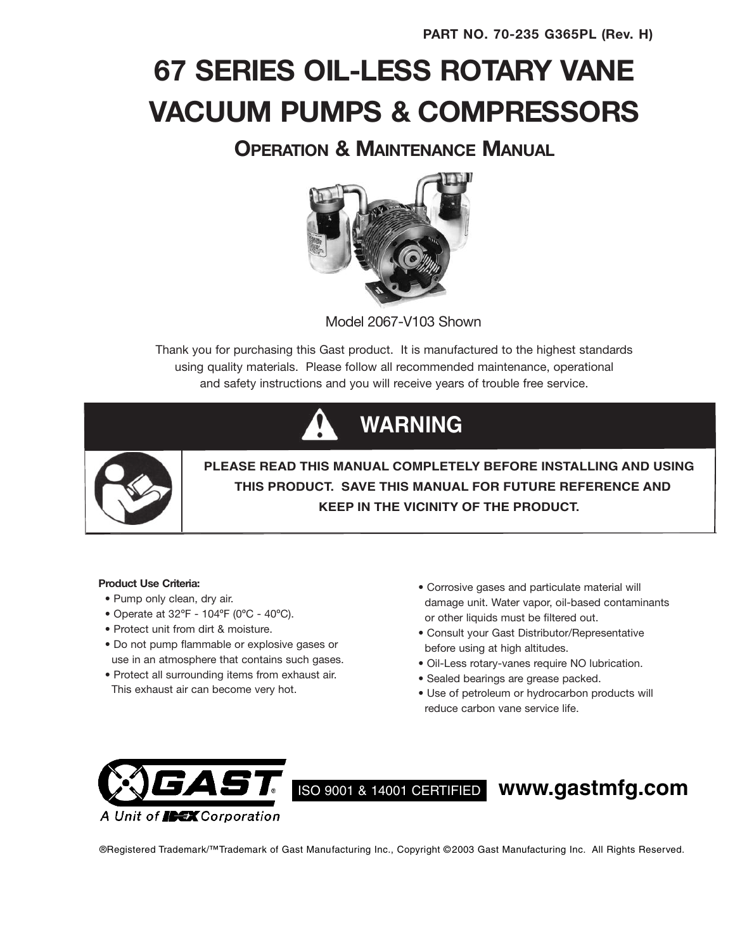# **67 SERIES OIL-LESS ROTARY VANE VACUUM PUMPS & COMPRESSORS**

### **OPERATION & MAINTENANCE MANUAL**



Model 2067-V103 Shown

Thank you for purchasing this Gast product. It is manufactured to the highest standards using quality materials. Please follow all recommended maintenance, operational and safety instructions and you will receive years of trouble free service.

# **WARNING**



**PLEASE READ THIS MANUAL COMPLETELY BEFORE INSTALLING AND USING THIS PRODUCT. SAVE THIS MANUAL FOR FUTURE REFERENCE AND KEEP IN THE VICINITY OF THE PRODUCT.**

### **Product Use Criteria:**

- Pump only clean, dry air.
- Operate at 32ºF 104ºF (0ºC 40ºC).
- Protect unit from dirt & moisture.
- Do not pump flammable or explosive gases or use in an atmosphere that contains such gases.
- Protect all surrounding items from exhaust air. This exhaust air can become very hot.
- Corrosive gases and particulate material will damage unit. Water vapor, oil-based contaminants or other liquids must be filtered out.
- Consult your Gast Distributor/Representative before using at high altitudes.
- Oil-Less rotary-vanes require NO lubrication.
- Sealed bearings are grease packed.
- Use of petroleum or hydrocarbon products will reduce carbon vane service life.



## ISO <sup>9001</sup> & <sup>14001</sup> CERTIFIED **www.gastmfg.com**

®Registered Trademark/™Trademark of Gast Manufacturing Inc., Copyright © 2003 Gast Manufacturing Inc. All Rights Reserved.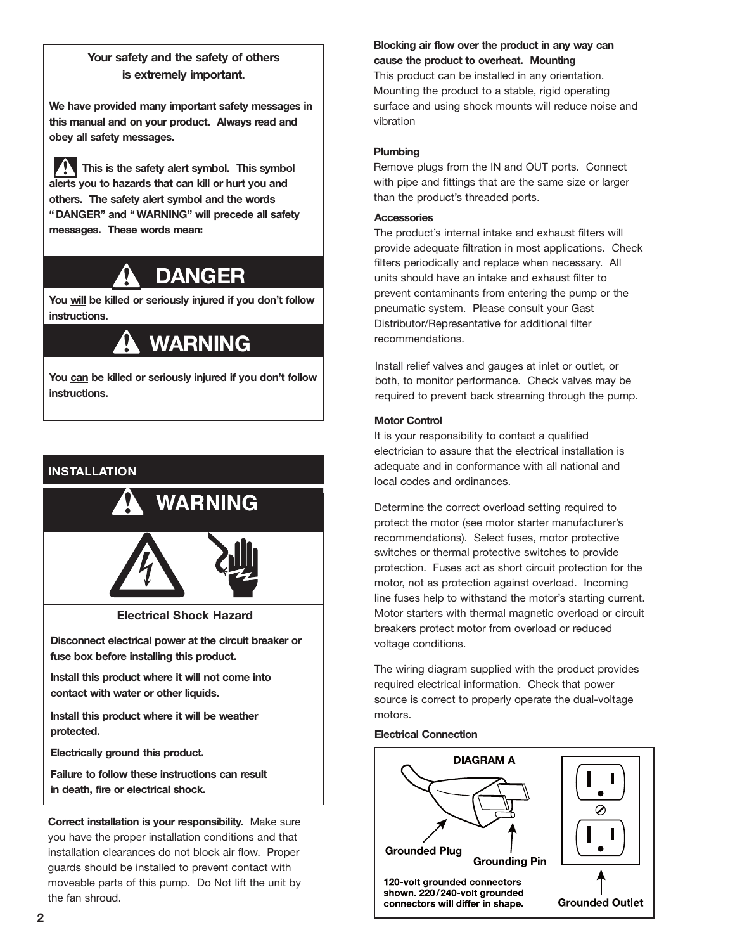### **Your safety and the safety of others is extremely important.**

**We have provided many important safety messages in this manual and on your product. Always read and obey all safety messages.**

**This is the safety alert symbol. This symbol alerts you to hazards that can kill or hurt you and others. The safety alert symbol and the words " DANGER" and " WARNING" will precede all safety messages. These words mean:**

## **DANGER**

**You will be killed or seriously injured if you don't follow instructions.**

## **WARNING**

**You can be killed or seriously injured if you don't follow instructions.**

### **INSTALLATION**



**Disconnect electrical power at the circuit breaker or fuse box before installing this product.**

**Install this product where it will not come into contact with water or other liquids.**

**Install this product where it will be weather protected.**

**Electrically ground this product.**

**Failure to follow these instructions can result in death, fire or electrical shock.**

**Correct installation is your responsibility.** Make sure you have the proper installation conditions and that installation clearances do not block air flow. Proper guards should be installed to prevent contact with moveable parts of this pump. Do Not lift the unit by the fan shroud.

### **Blocking air flow over the product in any way can cause the product to overheat. Mounting**

This product can be installed in any orientation. Mounting the product to a stable, rigid operating surface and using shock mounts will reduce noise and vibration

### **Plumbing**

Remove plugs from the IN and OUT ports. Connect with pipe and fittings that are the same size or larger than the product's threaded ports.

### **Accessories**

The product's internal intake and exhaust filters will provide adequate filtration in most applications. Check filters periodically and replace when necessary. All units should have an intake and exhaust filter to prevent contaminants from entering the pump or the pneumatic system. Please consult your Gast Distributor/Representative for additional filter recommendations.

Install relief valves and gauges at inlet or outlet, or both, to monitor performance. Check valves may be required to prevent back streaming through the pump.

### **Motor Control**

It is your responsibility to contact a qualified electrician to assure that the electrical installation is adequate and in conformance with all national and local codes and ordinances.

Determine the correct overload setting required to protect the motor (see motor starter manufacturer's recommendations). Select fuses, motor protective switches or thermal protective switches to provide protection. Fuses act as short circuit protection for the motor, not as protection against overload. Incoming line fuses help to withstand the motor's starting current. Motor starters with thermal magnetic overload or circuit breakers protect motor from overload or reduced voltage conditions.

The wiring diagram supplied with the product provides required electrical information. Check that power source is correct to properly operate the dual-voltage motors.

### **Electrical Connection**

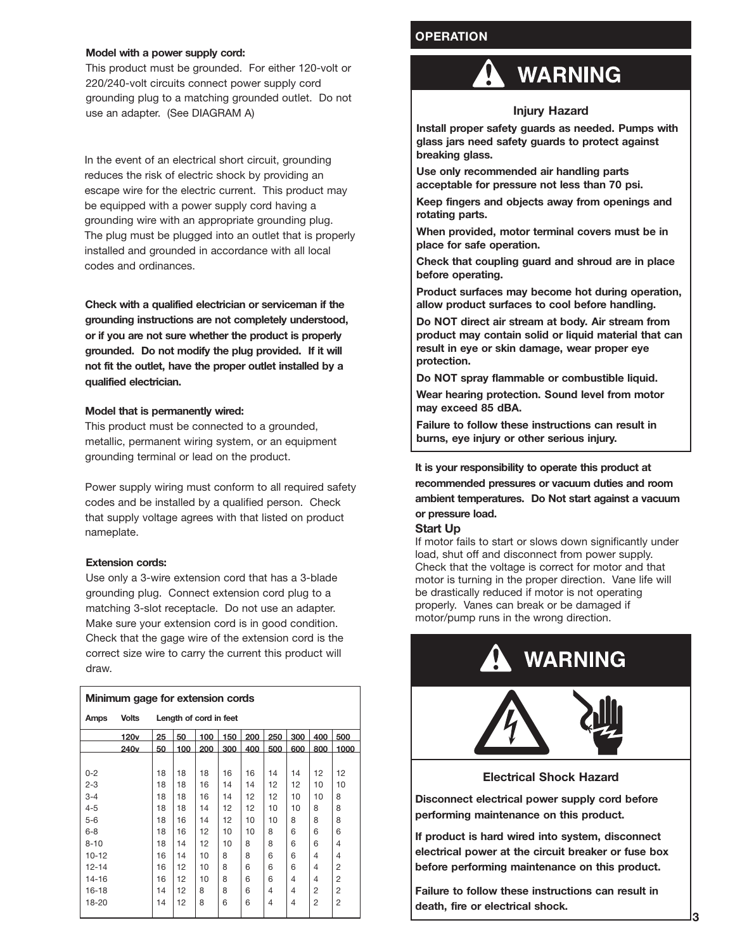### **Model with a power supply cord:**

This product must be grounded. For either 120-volt or 220/240-volt circuits connect power supply cord grounding plug to a matching grounded outlet. Do not use an adapter. (See DIAGRAM A)

In the event of an electrical short circuit, grounding reduces the risk of electric shock by providing an escape wire for the electric current. This product may be equipped with a power supply cord having a grounding wire with an appropriate grounding plug. The plug must be plugged into an outlet that is properly installed and grounded in accordance with all local codes and ordinances.

**Check with a qualified electrician or serviceman if the grounding instructions are not completely understood, or if you are not sure whether the product is properly grounded. Do not modify the plug provided. If it will not fit the outlet, have the proper outlet installed by a qualified electrician.**

### **Model that is permanently wired:**

This product must be connected to a grounded, metallic, permanent wiring system, or an equipment grounding terminal or lead on the product.

Power supply wiring must conform to all required safety codes and be installed by a qualified person. Check that supply voltage agrees with that listed on product nameplate.

### **Extension cords:**

Use only a 3-wire extension cord that has a 3-blade grounding plug. Connect extension cord plug to a matching 3-slot receptacle. Do not use an adapter. Make sure your extension cord is in good condition. Check that the gage wire of the extension cord is the correct size wire to carry the current this product will draw.

| Minimum gage for extension cords |                  |                                             |     |     |     |     |     |                |                |      |
|----------------------------------|------------------|---------------------------------------------|-----|-----|-----|-----|-----|----------------|----------------|------|
| Amps                             | <b>Volts</b>     | Length of cord in feet                      |     |     |     |     |     |                |                |      |
|                                  | 120 <sub>v</sub> | 25<br>50<br>200<br>250<br>300<br>150<br>100 |     |     |     |     |     | 400            | 500            |      |
|                                  | 240 <sub>v</sub> | 50                                          | 100 | 200 | 300 | 400 | 500 | 600            | 800            | 1000 |
|                                  |                  |                                             |     |     |     |     |     |                |                |      |
| $0 - 2$                          |                  | 18                                          | 18  | 18  | 16  | 16  | 14  | 14             | 12             | 12   |
| $2 - 3$                          |                  | 18                                          | 18  | 16  | 14  | 14  | 12  | 12             | 10             | 10   |
| $3 - 4$                          |                  | 18                                          | 18  | 16  | 14  | 12  | 12  | 10             | 10             | 8    |
| $4 - 5$                          |                  | 18                                          | 18  | 14  | 12  | 12  | 10  | 10             | 8              | 8    |
| $5-6$                            |                  | 18                                          | 16  | 14  | 12  | 10  | 10  | 8              | 8              | 8    |
| $6 - 8$                          |                  | 18                                          | 16  | 12  | 10  | 10  | 8   | 6              | 6              | 6    |
| $8 - 10$                         |                  | 18                                          | 14  | 12  | 10  | 8   | 8   | 6              | 6              | 4    |
| $10 - 12$                        |                  | 16                                          | 14  | 10  | 8   | 8   | 6   | 6              | $\overline{4}$ | 4    |
| $12 - 14$                        |                  | 16                                          | 12  | 10  | 8   | 6   | 6   | 6              | $\overline{4}$ | 2    |
| $14 - 16$                        |                  | 16                                          | 12  | 10  | 8   | 6   | 6   | $\overline{4}$ | 4              | 2    |
| $16 - 18$                        |                  | 14                                          | 12  | 8   | 8   | 6   | 4   | $\overline{4}$ | 2              | 2    |
| $18 - 20$                        |                  | 14                                          | 12  | 8   | 6   | 6   | 4   | 4              | 2              | 2    |

### **OPERATION**

### **WARNING**

### **Injury Hazard**

**Install proper safety guards as needed. Pumps with glass jars need safety guards to protect against breaking glass.**

**Use only recommended air handling parts acceptable for pressure not less than 70 psi.**

**Keep fingers and objects away from openings and rotating parts.**

**When provided, motor terminal covers must be in place for safe operation.**

**Check that coupling guard and shroud are in place before operating.**

**Product surfaces may become hot during operation, allow product surfaces to cool before handling.**

**Do NOT direct air stream at body. Air stream from product may contain solid or liquid material that can result in eye or skin damage, wear proper eye protection.**

**Do NOT spray flammable or combustible liquid.**

**Wear hearing protection. Sound level from motor may exceed 85 dBA.**

**Failure to follow these instructions can result in burns, eye injury or other serious injury.**

**It is your responsibility to operate this product at recommended pressures or vacuum duties and room ambient temperatures. Do Not start against a vacuum or pressure load.**

#### **Start Up**

If motor fails to start or slows down significantly under load, shut off and disconnect from power supply. Check that the voltage is correct for motor and that motor is turning in the proper direction. Vane life will be drastically reduced if motor is not operating properly. Vanes can break or be damaged if motor/pump runs in the wrong direction.

## **WARNING**



**Electrical Shock Hazard**

**Disconnect electrical power supply cord before performing maintenance on this product.**

**If product is hard wired into system, disconnect electrical power at the circuit breaker or fuse box before performing maintenance on this product.**

**Failure to follow these instructions can result in death, fire or electrical shock.**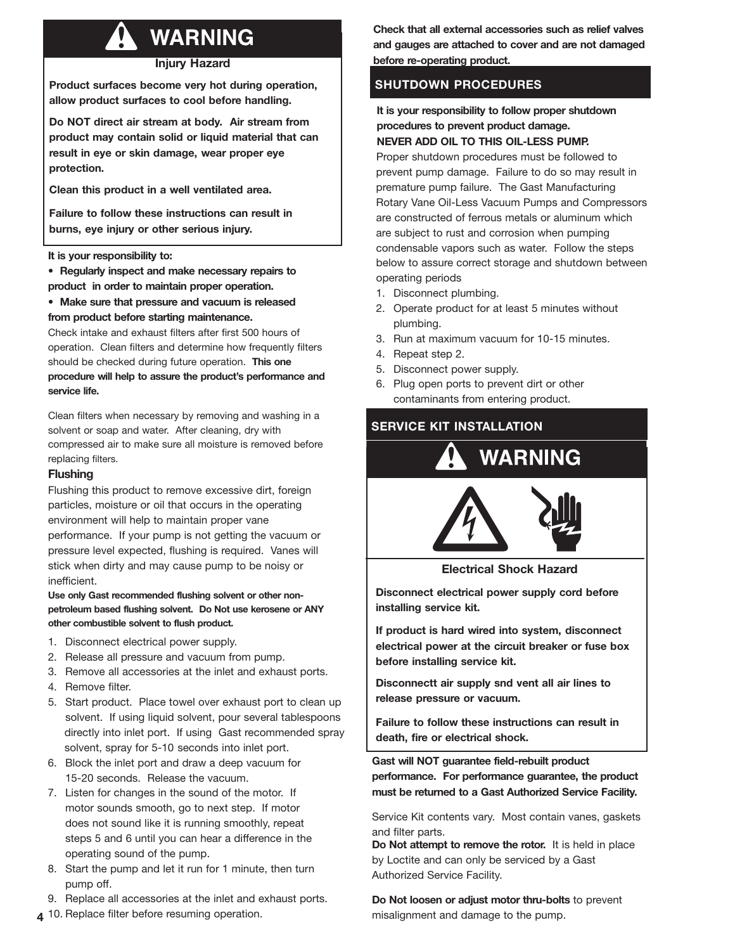## **WARNING**

### **Injury Hazard**

**Product surfaces become very hot during operation, allow product surfaces to cool before handling.**

**Do NOT direct air stream at body. Air stream from product may contain solid or liquid material that can result in eye or skin damage, wear proper eye protection.**

**Clean this product in a well ventilated area.**

**Failure to follow these instructions can result in burns, eye injury or other serious injury.**

### **It is your responsibility to:**

**• Regularly inspect and make necessary repairs to product in order to maintain proper operation.**

**• Make sure that pressure and vacuum is released from product before starting maintenance.**

Check intake and exhaust filters after first 500 hours of operation. Clean filters and determine how frequently filters should be checked during future operation. **This one procedure will help to assure the product's performance and service life.**

Clean filters when necessary by removing and washing in a solvent or soap and water. After cleaning, dry with compressed air to make sure all moisture is removed before replacing filters.

### **Flushing**

Flushing this product to remove excessive dirt, foreign particles, moisture or oil that occurs in the operating environment will help to maintain proper vane performance. If your pump is not getting the vacuum or pressure level expected, flushing is required. Vanes will stick when dirty and may cause pump to be noisy or inefficient.

**Use only Gast recommended flushing solvent or other nonpetroleum based flushing solvent. Do Not use kerosene or ANY other combustible solvent to flush product.**

- 1. Disconnect electrical power supply.
- 2. Release all pressure and vacuum from pump.
- 3. Remove all accessories at the inlet and exhaust ports.
- 4. Remove filter.
- 5. Start product. Place towel over exhaust port to clean up solvent. If using liquid solvent, pour several tablespoons directly into inlet port. If using Gast recommended spray solvent, spray for 5-10 seconds into inlet port.
- 6. Block the inlet port and draw a deep vacuum for 15-20 seconds. Release the vacuum.
- 7. Listen for changes in the sound of the motor. If motor sounds smooth, go to next step. If motor does not sound like it is running smoothly, repeat steps 5 and 6 until you can hear a difference in the operating sound of the pump.
- 8. Start the pump and let it run for 1 minute, then turn pump off.
- 9. Replace all accessories at the inlet and exhaust ports.
- 

**Check that all external accessories such as relief valves and gauges are attached to cover and are not damaged before re-operating product.**

### **SHUTDOWN PROCEDURES**

**It is your responsibility to follow proper shutdown procedures to prevent product damage. NEVER ADD OIL TO THIS OIL-LESS PUMP.**

Proper shutdown procedures must be followed to prevent pump damage. Failure to do so may result in premature pump failure. The Gast Manufacturing Rotary Vane Oil-Less Vacuum Pumps and Compressors are constructed of ferrous metals or aluminum which are subject to rust and corrosion when pumping condensable vapors such as water. Follow the steps below to assure correct storage and shutdown between operating periods

- 1. Disconnect plumbing.
- 2. Operate product for at least 5 minutes without plumbing.
- 3. Run at maximum vacuum for 10-15 minutes.
- 4. Repeat step 2.
- 5. Disconnect power supply.
- 6. Plug open ports to prevent dirt or other contaminants from entering product.

### **SERVICE KIT INSTALLATION**





**Electrical Shock Hazard**

**Disconnect electrical power supply cord before installing service kit.**

**If product is hard wired into system, disconnect electrical power at the circuit breaker or fuse box before installing service kit.**

**Disconnectt air supply snd vent all air lines to release pressure or vacuum.**

**Failure to follow these instructions can result in death, fire or electrical shock.**

**Gast will NOT guarantee field-rebuilt product performance. For performance guarantee, the product must be returned to a Gast Authorized Service Facility.**

Service Kit contents vary. Most contain vanes, gaskets and filter parts.

**Do Not attempt to remove the rotor.** It is held in place by Loctite and can only be serviced by a Gast Authorized Service Facility.

**Do Not loosen or adjust motor thru-bolts** to prevent **4** 10. Replace filter before resuming operation. The misalignment and damage to the pump.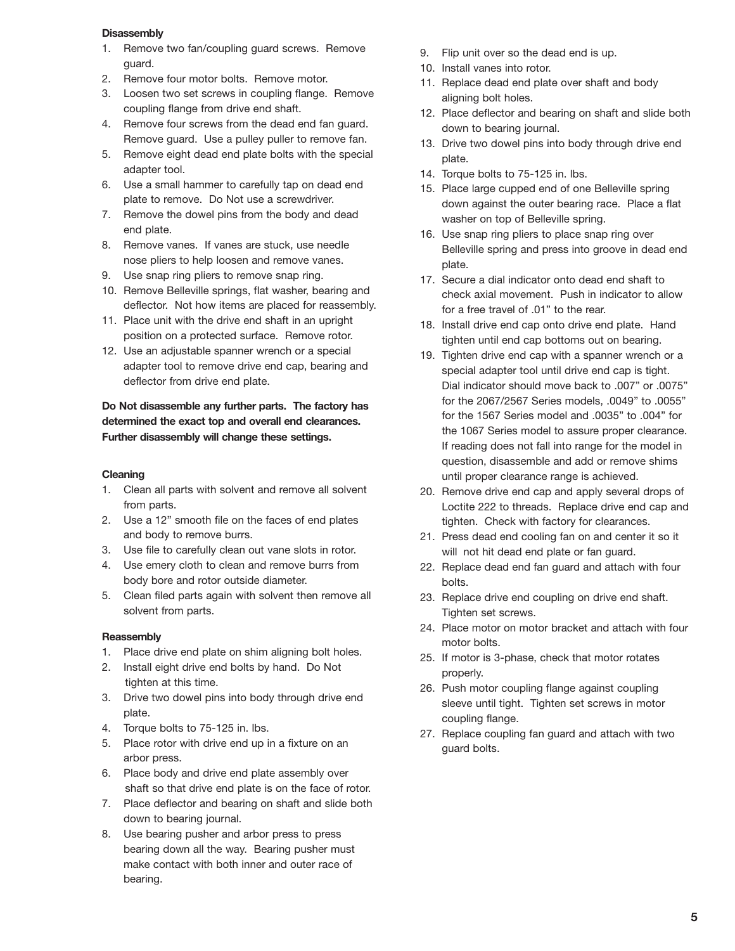### **Disassembly**

- 1. Remove two fan/coupling guard screws. Remove guard.
- 2. Remove four motor bolts. Remove motor.
- 3. Loosen two set screws in coupling flange. Remove coupling flange from drive end shaft.
- 4. Remove four screws from the dead end fan guard. Remove guard. Use a pulley puller to remove fan.
- 5. Remove eight dead end plate bolts with the special adapter tool.
- 6. Use a small hammer to carefully tap on dead end plate to remove. Do Not use a screwdriver.
- 7. Remove the dowel pins from the body and dead end plate.
- 8. Remove vanes. If vanes are stuck, use needle nose pliers to help loosen and remove vanes.
- 9. Use snap ring pliers to remove snap ring.
- 10. Remove Belleville springs, flat washer, bearing and deflector. Not how items are placed for reassembly.
- 11. Place unit with the drive end shaft in an upright position on a protected surface. Remove rotor.
- 12. Use an adjustable spanner wrench or a special adapter tool to remove drive end cap, bearing and deflector from drive end plate.

### **Do Not disassemble any further parts. The factory has determined the exact top and overall end clearances. Further disassembly will change these settings.**

### **Cleaning**

- 1. Clean all parts with solvent and remove all solvent from parts.
- 2. Use a 12" smooth file on the faces of end plates and body to remove burrs.
- 3. Use file to carefully clean out vane slots in rotor.
- 4. Use emery cloth to clean and remove burrs from body bore and rotor outside diameter.
- 5. Clean filed parts again with solvent then remove all solvent from parts.

### **Reassembly**

- 1. Place drive end plate on shim aligning bolt holes.
- 2. Install eight drive end bolts by hand. Do Not tighten at this time.
- 3. Drive two dowel pins into body through drive end plate.
- 4. Torque bolts to 75-125 in. lbs.
- 5. Place rotor with drive end up in a fixture on an arbor press.
- 6. Place body and drive end plate assembly over shaft so that drive end plate is on the face of rotor.
- 7. Place deflector and bearing on shaft and slide both down to bearing journal.
- 8. Use bearing pusher and arbor press to press bearing down all the way. Bearing pusher must make contact with both inner and outer race of bearing.
- 9. Flip unit over so the dead end is up.
- 10. Install vanes into rotor.
- 11. Replace dead end plate over shaft and body aligning bolt holes.
- 12. Place deflector and bearing on shaft and slide both down to bearing journal.
- 13. Drive two dowel pins into body through drive end plate.
- 14. Torque bolts to 75-125 in. lbs.
- 15. Place large cupped end of one Belleville spring down against the outer bearing race. Place a flat washer on top of Belleville spring.
- 16. Use snap ring pliers to place snap ring over Belleville spring and press into groove in dead end plate.
- 17. Secure a dial indicator onto dead end shaft to check axial movement. Push in indicator to allow for a free travel of .01" to the rear.
- 18. Install drive end cap onto drive end plate. Hand tighten until end cap bottoms out on bearing.
- 19. Tighten drive end cap with a spanner wrench or a special adapter tool until drive end cap is tight. Dial indicator should move back to .007" or .0075" for the 2067/2567 Series models, .0049" to .0055" for the 1567 Series model and .0035" to .004" for the 1067 Series model to assure proper clearance. If reading does not fall into range for the model in question, disassemble and add or remove shims until proper clearance range is achieved.
- 20. Remove drive end cap and apply several drops of Loctite 222 to threads. Replace drive end cap and tighten. Check with factory for clearances.
- 21. Press dead end cooling fan on and center it so it will not hit dead end plate or fan guard.
- 22. Replace dead end fan guard and attach with four bolts.
- 23. Replace drive end coupling on drive end shaft. Tighten set screws.
- 24. Place motor on motor bracket and attach with four motor bolts.
- 25. If motor is 3-phase, check that motor rotates properly.
- 26. Push motor coupling flange against coupling sleeve until tight. Tighten set screws in motor coupling flange.
- 27. Replace coupling fan guard and attach with two guard bolts.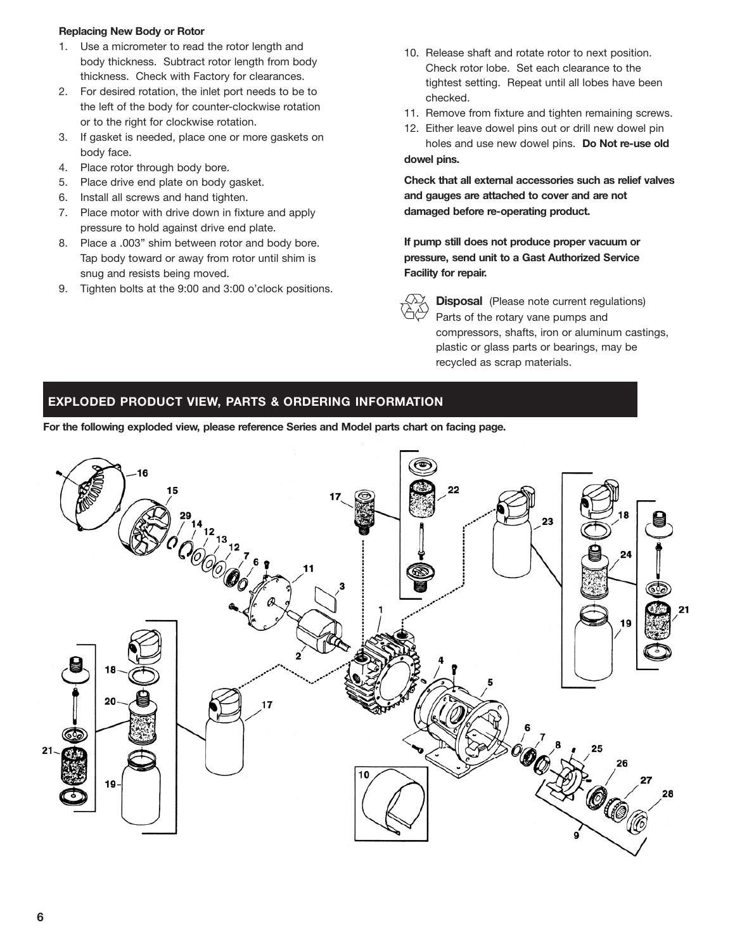### **Replacing New Body or Rotor**

- 1. Use a micrometer to read the rotor length and body thickness. Subtract rotor length from body thickness. Check with Factory for clearances.
- 2. For desired rotation, the inlet port needs to be to the left of the body for counter-clockwise rotation or to the right for clockwise rotation.
- 3. If gasket is needed, place one or more gaskets on body face.
- 4. Place rotor through body bore.
- 5. Place drive end plate on body gasket.
- 6. Install all screws and hand tighten.
- 7. Place motor with drive down in fixture and apply pressure to hold against drive end plate.
- 8. Place a .003" shim between rotor and body bore. Tap body toward or away from rotor until shim is snug and resists being moved.
- 9. Tighten bolts at the 9:00 and 3:00 o'clock positions.
- 10. Release shaft and rotate rotor to next position. Check rotor lobe. Set each clearance to the tightest setting. Repeat until all lobes have been checked.
- 11. Remove from fixture and tighten remaining screws.
- 12. Either leave dowel pins out or drill new dowel pin holes and use new dowel pins. **Do Not re-use old dowel pins.**

**Check that all external accessories such as relief valves and gauges are attached to cover and are not damaged before re-operating product.**

**If pump still does not produce proper vacuum or pressure, send unit to a Gast Authorized Service Facility for repair.**

**Disposal** (Please note current regulations) Parts of the rotary vane pumps and compressors, shafts, iron or aluminum castings, plastic or glass parts or bearings, may be recycled as scrap materials.

### **EXPLODED PRODUCT VIEW, PARTS & ORDERING INFORMATION**

**For the following exploded view, please reference Series and Model parts chart on facing page.**

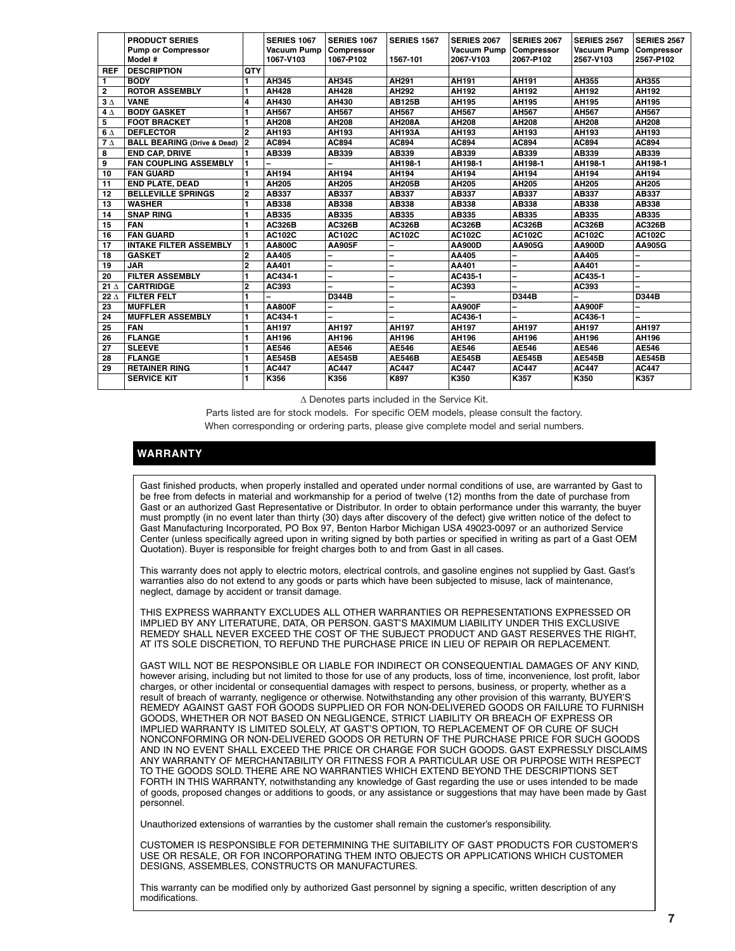|             | <b>PRODUCT SERIES</b>                  |                         | <b>SERIES 1067</b> | <b>SERIES 1067</b> | <b>SERIES 1567</b> | <b>SERIES 2067</b> | <b>SERIES 2067</b> | <b>SERIES 2567</b> | <b>SERIES 2567</b> |
|-------------|----------------------------------------|-------------------------|--------------------|--------------------|--------------------|--------------------|--------------------|--------------------|--------------------|
|             | <b>Pump or Compressor</b>              |                         | <b>Vacuum Pump</b> | Compressor         |                    | Vacuum Pump        | Compressor         | <b>Vacuum Pump</b> | Compressor         |
|             | Model #                                |                         | 1067-V103          | 1067-P102          | 1567-101           | 2067-V103          | 2067-P102          | 2567-V103          | 2567-P102          |
| <b>REF</b>  | <b>DESCRIPTION</b>                     | <b>QTY</b>              |                    |                    |                    |                    |                    |                    |                    |
| 1.          | <b>BODY</b>                            | 1                       | AH345              | AH345              | AH291              | AH191              | AH191              | AH355              | AH355              |
| 2           | <b>ROTOR ASSEMBLY</b>                  | 1                       | AH428              | AH428              | AH292              | AH192              | AH192              | AH192              | AH192              |
| $3\Delta$   | <b>VANE</b>                            | $\overline{\mathbf{4}}$ | AH430              | AH430              | <b>AB125B</b>      | AH195              | AH195              | AH195              | AH195              |
| $4\Delta$   | <b>BODY GASKET</b>                     | 1                       | AH567              | AH567              | AH567              | AH567              | AH567              | AH567              | AH567              |
| 5           | <b>FOOT BRACKET</b>                    | 1                       | AH208              | AH208              | <b>AH208A</b>      | AH208              | AH208              | AH208              | AH208              |
| $6\Delta$   | <b>DEFLECTOR</b>                       | $\overline{2}$          | AH193              | AH193              | <b>AH193A</b>      | AH193              | AH193              | AH193              | AH193              |
| $7\Delta$   | <b>BALL BEARING (Drive &amp; Dead)</b> | $\overline{2}$          | AC894              | AC894              | AC894              | AC894              | AC894              | AC894              | AC894              |
| 8           | <b>END CAP, DRIVE</b>                  |                         | AB339              | AB339              | AB339              | AB339              | AB339              | AB339              | AB339              |
| 9           | <b>FAN COUPLING ASSEMBLY</b>           |                         |                    |                    | AH198-1            | AH198-1            | AH198-1            | AH198-1            | AH198-1            |
| 10          | <b>FAN GUARD</b>                       |                         | AH194              | AH194              | AH194              | AH194              | AH194              | AH194              | AH194              |
| 11          | <b>END PLATE, DEAD</b>                 |                         | AH205              | AH205              | <b>AH205B</b>      | AH205              | AH205              | AH205              | AH205              |
| 12          | <b>BELLEVILLE SPRINGS</b>              | 2                       | AB337              | AB337              | AB337              | AB337              | AB337              | AB337              | AB337              |
| 13          | <b>WASHER</b>                          | 1                       | AB338              | AB338              | AB338              | AB338              | AB338              | AB338              | AB338              |
| 14          | <b>SNAP RING</b>                       | 1                       | AB335              | AB335              | AB335              | AB335              | AB335              | AB335              | AB335              |
| 15          | <b>FAN</b>                             | 1                       | <b>AC326B</b>      | <b>AC326B</b>      | <b>AC326B</b>      | <b>AC326B</b>      | <b>AC326B</b>      | <b>AC326B</b>      | <b>AC326B</b>      |
| 16          | <b>FAN GUARD</b>                       | 1                       | <b>AC102C</b>      | <b>AC102C</b>      | <b>AC102C</b>      | <b>AC102C</b>      | <b>AC102C</b>      | <b>AC102C</b>      | <b>AC102C</b>      |
| 17          | <b>INTAKE FILTER ASSEMBLY</b>          | 1                       | AA800C             | <b>AA905F</b>      |                    | AA900D             | AA905G             | AA900D             | AA905G             |
| 18          | <b>GASKET</b>                          | $\overline{2}$          | AA405              |                    |                    | AA405              |                    | AA405              |                    |
| 19          | <b>JAR</b>                             | 2                       | AA401              |                    |                    | AA401              |                    | AA401              |                    |
| 20          | <b>FILTER ASSEMBLY</b>                 | 1                       | AC434-1            |                    | -                  | AC435-1            | -                  | AC435-1            |                    |
| 21 $\Delta$ | <b>CARTRIDGE</b>                       | $\mathbf{2}$            | AC393              |                    |                    | AC393              |                    | AC393              |                    |
| 22 $\Delta$ | <b>FILTER FELT</b>                     | 1                       |                    | D344B              | -                  |                    | D344B              |                    | D344B              |
| 23          | <b>MUFFLER</b>                         | 1                       | <b>AA800F</b>      |                    |                    | <b>AA900F</b>      |                    | <b>AA900F</b>      |                    |
| 24          | <b>MUFFLER ASSEMBLY</b>                | 1                       | AC434-1            |                    |                    | AC436-1            |                    | AC436-1            |                    |
| 25          | <b>FAN</b>                             | 1                       | AH197              | AH197              | <b>AH197</b>       | AH197              | AH197              | <b>AH197</b>       | AH197              |
| 26          | <b>FLANGE</b>                          | 1                       | AH196              | AH196              | AH196              | AH196              | AH196              | AH196              | AH196              |
| 27          | <b>SLEEVE</b>                          | 1                       | AE546              | AE546              | AE546              | AE546              | AE546              | AE546              | AE546              |
| 28          | <b>FLANGE</b>                          | 1                       | <b>AE545B</b>      | <b>AE545B</b>      | <b>AE546B</b>      | <b>AE545B</b>      | <b>AE545B</b>      | <b>AE545B</b>      | <b>AE545B</b>      |
| 29          | <b>RETAINER RING</b>                   | 1                       | <b>AC447</b>       | <b>AC447</b>       | <b>AC447</b>       | <b>AC447</b>       | <b>AC447</b>       | <b>AC447</b>       | <b>AC447</b>       |
|             | <b>SERVICE KIT</b>                     | 1                       | K356               | K356               | K897               | K350               | K357               | K350               | K357               |

∆ Denotes parts included in the Service Kit.

Parts listed are for stock models. For specific OEM models, please consult the factory. When corresponding or ordering parts, please give complete model and serial numbers.

### **WARRANTY**

Gast finished products, when properly installed and operated under normal conditions of use, are warranted by Gast to be free from defects in material and workmanship for a period of twelve (12) months from the date of purchase from Gast or an authorized Gast Representative or Distributor. In order to obtain performance under this warranty, the buyer must promptly (in no event later than thirty (30) days after discovery of the defect) give written notice of the defect to Gast Manufacturing Incorporated, PO Box 97, Benton Harbor Michigan USA 49023-0097 or an authorized Service Center (unless specifically agreed upon in writing signed by both parties or specified in writing as part of a Gast OEM Quotation). Buyer is responsible for freight charges both to and from Gast in all cases.

This warranty does not apply to electric motors, electrical controls, and gasoline engines not supplied by Gast. Gast's warranties also do not extend to any goods or parts which have been subjected to misuse, lack of maintenance, neglect, damage by accident or transit damage.

THIS EXPRESS WARRANTY EXCLUDES ALL OTHER WARRANTIES OR REPRESENTATIONS EXPRESSED OR IMPLIED BY ANY LITERATURE, DATA, OR PERSON. GAST'S MAXIMUM LIABILITY UNDER THIS EXCLUSIVE REMEDY SHALL NEVER EXCEED THE COST OF THE SUBJECT PRODUCT AND GAST RESERVES THE RIGHT, AT ITS SOLE DISCRETION, TO REFUND THE PURCHASE PRICE IN LIEU OF REPAIR OR REPLACEMENT.

GAST WILL NOT BE RESPONSIBLE OR LIABLE FOR INDIRECT OR CONSEQUENTIAL DAMAGES OF ANY KIND, however arising, including but not limited to those for use of any products, loss of time, inconvenience, lost profit, labor charges, or other incidental or consequential damages with respect to persons, business, or property, whether as a result of breach of warranty, negligence or otherwise. Notwithstanding any other provision of this warranty, BUYER'S REMEDY AGAINST GAST FOR GOODS SUPPLIED OR FOR NON-DELIVERED GOODS OR FAILURE TO FURNISH GOODS, WHETHER OR NOT BASED ON NEGLIGENCE, STRICT LIABILITY OR BREACH OF EXPRESS OR IMPLIED WARRANTY IS LIMITED SOLELY, AT GAST'S OPTION, TO REPLACEMENT OF OR CURE OF SUCH NONCONFORMING OR NON-DELIVERED GOODS OR RETURN OF THE PURCHASE PRICE FOR SUCH GOODS AND IN NO EVENT SHALL EXCEED THE PRICE OR CHARGE FOR SUCH GOODS. GAST EXPRESSLY DISCLAIMS ANY WARRANTY OF MERCHANTABILITY OR FITNESS FOR A PARTICULAR USE OR PURPOSE WITH RESPECT TO THE GOODS SOLD. THERE ARE NO WARRANTIES WHICH EXTEND BEYOND THE DESCRIPTIONS SET FORTH IN THIS WARRANTY, notwithstanding any knowledge of Gast regarding the use or uses intended to be made of goods, proposed changes or additions to goods, or any assistance or suggestions that may have been made by Gast personnel.

Unauthorized extensions of warranties by the customer shall remain the customer's responsibility.

CUSTOMER IS RESPONSIBLE FOR DETERMINING THE SUITABILITY OF GAST PRODUCTS FOR CUSTOMER'S USE OR RESALE, OR FOR INCORPORATING THEM INTO OBJECTS OR APPLICATIONS WHICH CUSTOMER DESIGNS, ASSEMBLES, CONSTRUCTS OR MANUFACTURES.

This warranty can be modified only by authorized Gast personnel by signing a specific, written description of any modifications.